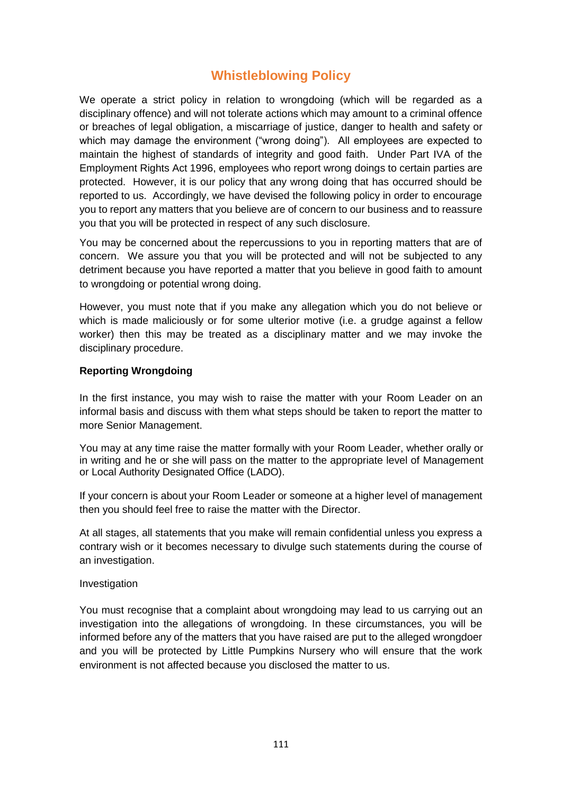# **Whistleblowing Policy**

We operate a strict policy in relation to wrongdoing (which will be regarded as a disciplinary offence) and will not tolerate actions which may amount to a criminal offence or breaches of legal obligation, a miscarriage of justice, danger to health and safety or which may damage the environment ("wrong doing"). All employees are expected to maintain the highest of standards of integrity and good faith. Under Part IVA of the Employment Rights Act 1996, employees who report wrong doings to certain parties are protected. However, it is our policy that any wrong doing that has occurred should be reported to us. Accordingly, we have devised the following policy in order to encourage you to report any matters that you believe are of concern to our business and to reassure you that you will be protected in respect of any such disclosure.

You may be concerned about the repercussions to you in reporting matters that are of concern. We assure you that you will be protected and will not be subjected to any detriment because you have reported a matter that you believe in good faith to amount to wrongdoing or potential wrong doing.

However, you must note that if you make any allegation which you do not believe or which is made maliciously or for some ulterior motive (i.e. a grudge against a fellow worker) then this may be treated as a disciplinary matter and we may invoke the disciplinary procedure.

# **Reporting Wrongdoing**

In the first instance, you may wish to raise the matter with your Room Leader on an informal basis and discuss with them what steps should be taken to report the matter to more Senior Management.

You may at any time raise the matter formally with your Room Leader, whether orally or in writing and he or she will pass on the matter to the appropriate level of Management or Local Authority Designated Office (LADO).

If your concern is about your Room Leader or someone at a higher level of management then you should feel free to raise the matter with the Director.

At all stages, all statements that you make will remain confidential unless you express a contrary wish or it becomes necessary to divulge such statements during the course of an investigation.

## **Investigation**

You must recognise that a complaint about wrongdoing may lead to us carrying out an investigation into the allegations of wrongdoing. In these circumstances, you will be informed before any of the matters that you have raised are put to the alleged wrongdoer and you will be protected by Little Pumpkins Nursery who will ensure that the work environment is not affected because you disclosed the matter to us.